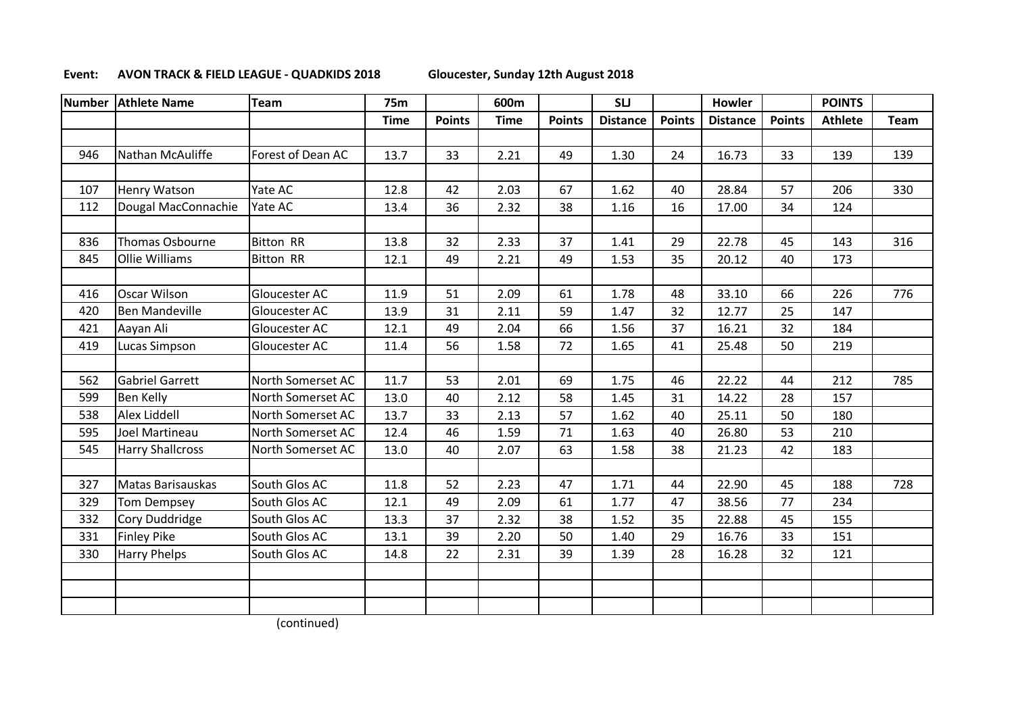## **Event: AVON TRACK & FIELD LEAGUE - QUADKIDS 2018 Gloucester, Sunday 12th August 2018**

| <b>Number</b> | <b>Athlete Name</b>     | <b>Team</b>       | <b>75m</b>  |               | 600m        |               | <b>SLJ</b>      |               | <b>Howler</b>   |               | <b>POINTS</b>  |      |
|---------------|-------------------------|-------------------|-------------|---------------|-------------|---------------|-----------------|---------------|-----------------|---------------|----------------|------|
|               |                         |                   | <b>Time</b> | <b>Points</b> | <b>Time</b> | <b>Points</b> | <b>Distance</b> | <b>Points</b> | <b>Distance</b> | <b>Points</b> | <b>Athlete</b> | Team |
|               |                         |                   |             |               |             |               |                 |               |                 |               |                |      |
| 946           | Nathan McAuliffe        | Forest of Dean AC | 13.7        | 33            | 2.21        | 49            | 1.30            | 24            | 16.73           | 33            | 139            | 139  |
|               |                         |                   |             |               |             |               |                 |               |                 |               |                |      |
| 107           | <b>Henry Watson</b>     | Yate AC           | 12.8        | 42            | 2.03        | 67            | 1.62            | 40            | 28.84           | 57            | 206            | 330  |
| 112           | Dougal MacConnachie     | Yate AC           | 13.4        | 36            | 2.32        | 38            | 1.16            | 16            | 17.00           | 34            | 124            |      |
|               |                         |                   |             |               |             |               |                 |               |                 |               |                |      |
| 836           | Thomas Osbourne         | <b>Bitton RR</b>  | 13.8        | 32            | 2.33        | 37            | 1.41            | 29            | 22.78           | 45            | 143            | 316  |
| 845           | <b>Ollie Williams</b>   | <b>Bitton RR</b>  | 12.1        | 49            | 2.21        | 49            | 1.53            | 35            | 20.12           | 40            | 173            |      |
|               |                         |                   |             |               |             |               |                 |               |                 |               |                |      |
| 416           | <b>Oscar Wilson</b>     | Gloucester AC     | 11.9        | 51            | 2.09        | 61            | 1.78            | 48            | 33.10           | 66            | 226            | 776  |
| 420           | <b>Ben Mandeville</b>   | Gloucester AC     | 13.9        | 31            | 2.11        | 59            | 1.47            | 32            | 12.77           | 25            | 147            |      |
| 421           | Aayan Ali               | Gloucester AC     | 12.1        | 49            | 2.04        | 66            | 1.56            | 37            | 16.21           | 32            | 184            |      |
| 419           | Lucas Simpson           | Gloucester AC     | 11.4        | 56            | 1.58        | 72            | 1.65            | 41            | 25.48           | 50            | 219            |      |
|               |                         |                   |             |               |             |               |                 |               |                 |               |                |      |
| 562           | <b>Gabriel Garrett</b>  | North Somerset AC | 11.7        | 53            | 2.01        | 69            | 1.75            | 46            | 22.22           | 44            | 212            | 785  |
| 599           | <b>Ben Kelly</b>        | North Somerset AC | 13.0        | 40            | 2.12        | 58            | 1.45            | 31            | 14.22           | 28            | 157            |      |
| 538           | Alex Liddell            | North Somerset AC | 13.7        | 33            | 2.13        | 57            | 1.62            | 40            | 25.11           | 50            | 180            |      |
| 595           | Joel Martineau          | North Somerset AC | 12.4        | 46            | 1.59        | 71            | 1.63            | 40            | 26.80           | 53            | 210            |      |
| 545           | <b>Harry Shallcross</b> | North Somerset AC | 13.0        | 40            | 2.07        | 63            | 1.58            | 38            | 21.23           | 42            | 183            |      |
|               |                         |                   |             |               |             |               |                 |               |                 |               |                |      |
| 327           | Matas Barisauskas       | South Glos AC     | 11.8        | 52            | 2.23        | 47            | 1.71            | 44            | 22.90           | 45            | 188            | 728  |
| 329           | <b>Tom Dempsey</b>      | South Glos AC     | 12.1        | 49            | 2.09        | 61            | 1.77            | 47            | 38.56           | 77            | 234            |      |
| 332           | Cory Duddridge          | South Glos AC     | 13.3        | 37            | 2.32        | 38            | 1.52            | 35            | 22.88           | 45            | 155            |      |
| 331           | <b>Finley Pike</b>      | South Glos AC     | 13.1        | 39            | 2.20        | 50            | 1.40            | 29            | 16.76           | 33            | 151            |      |
| 330           | <b>Harry Phelps</b>     | South Glos AC     | 14.8        | 22            | 2.31        | 39            | 1.39            | 28            | 16.28           | 32            | 121            |      |
|               |                         |                   |             |               |             |               |                 |               |                 |               |                |      |
|               |                         |                   |             |               |             |               |                 |               |                 |               |                |      |
|               |                         |                   |             |               |             |               |                 |               |                 |               |                |      |

(continued)